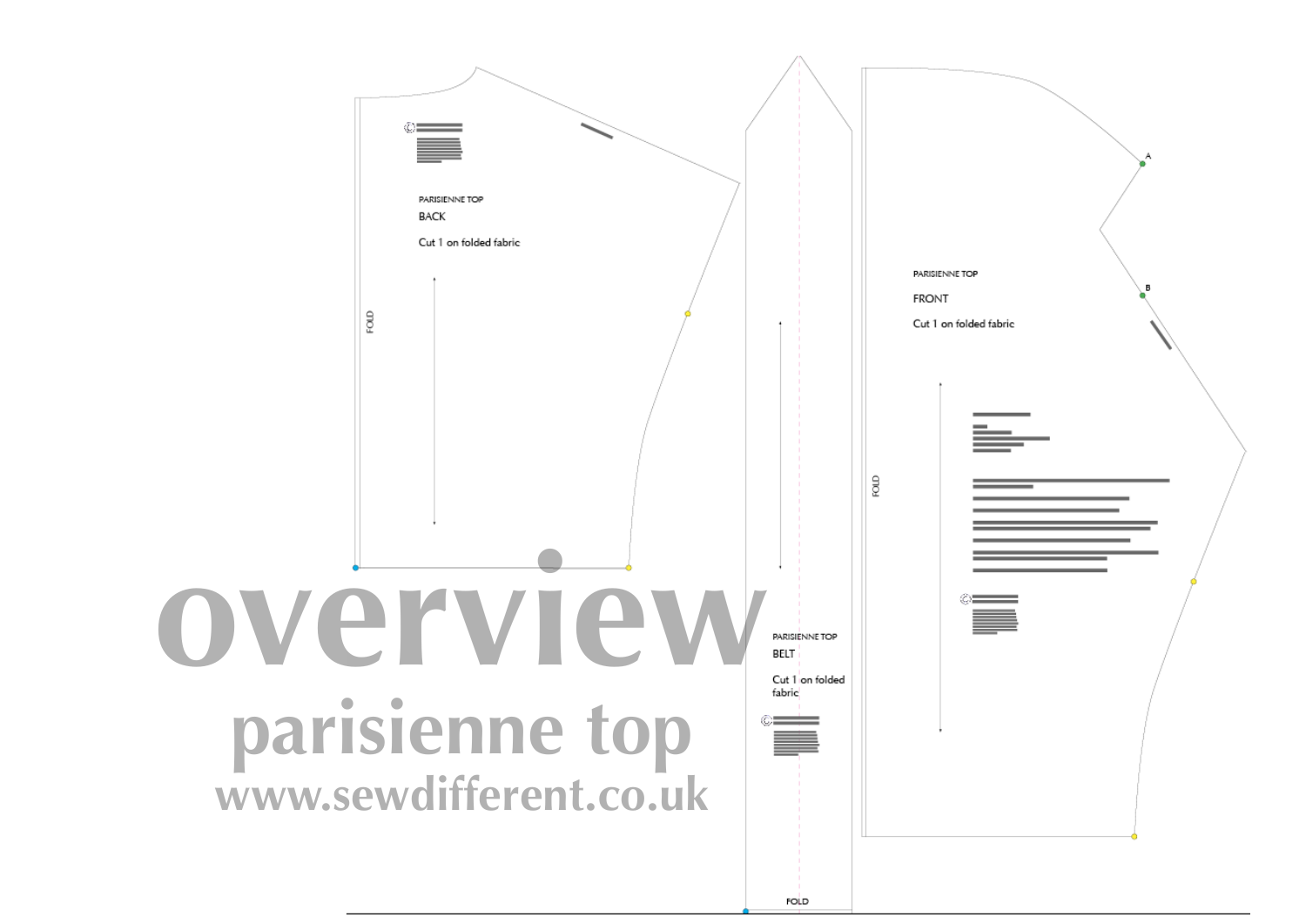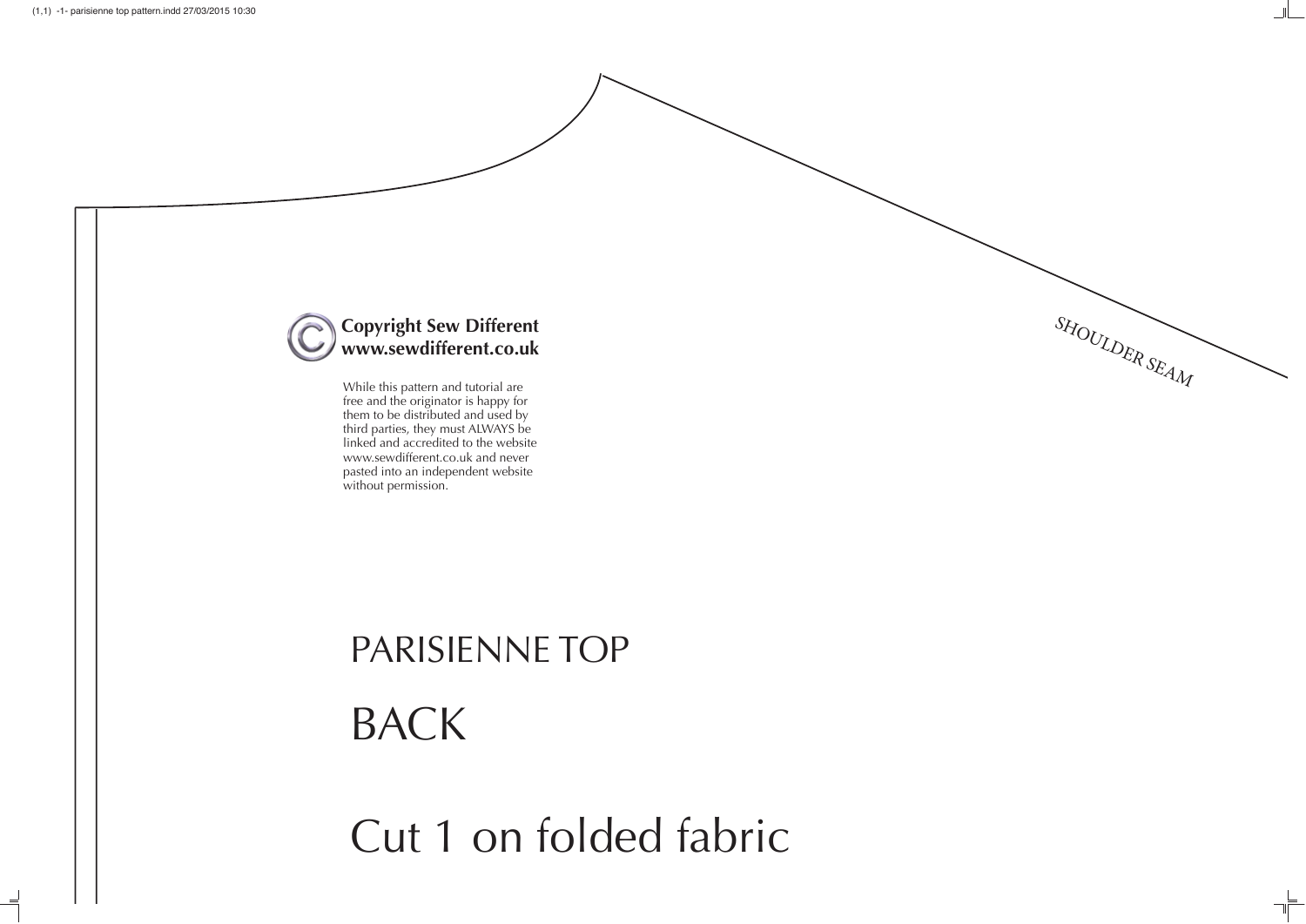

While this pattern and tutorial are free and the originator is happy for them to be distributed and used by third parties, they must ALWAYS be linked and accredited to the website www.sewdifferent.co.uk and never pasted into an independent website without permission.

### PARISIENNE TOP

BACK

Cut 1 on folded fabric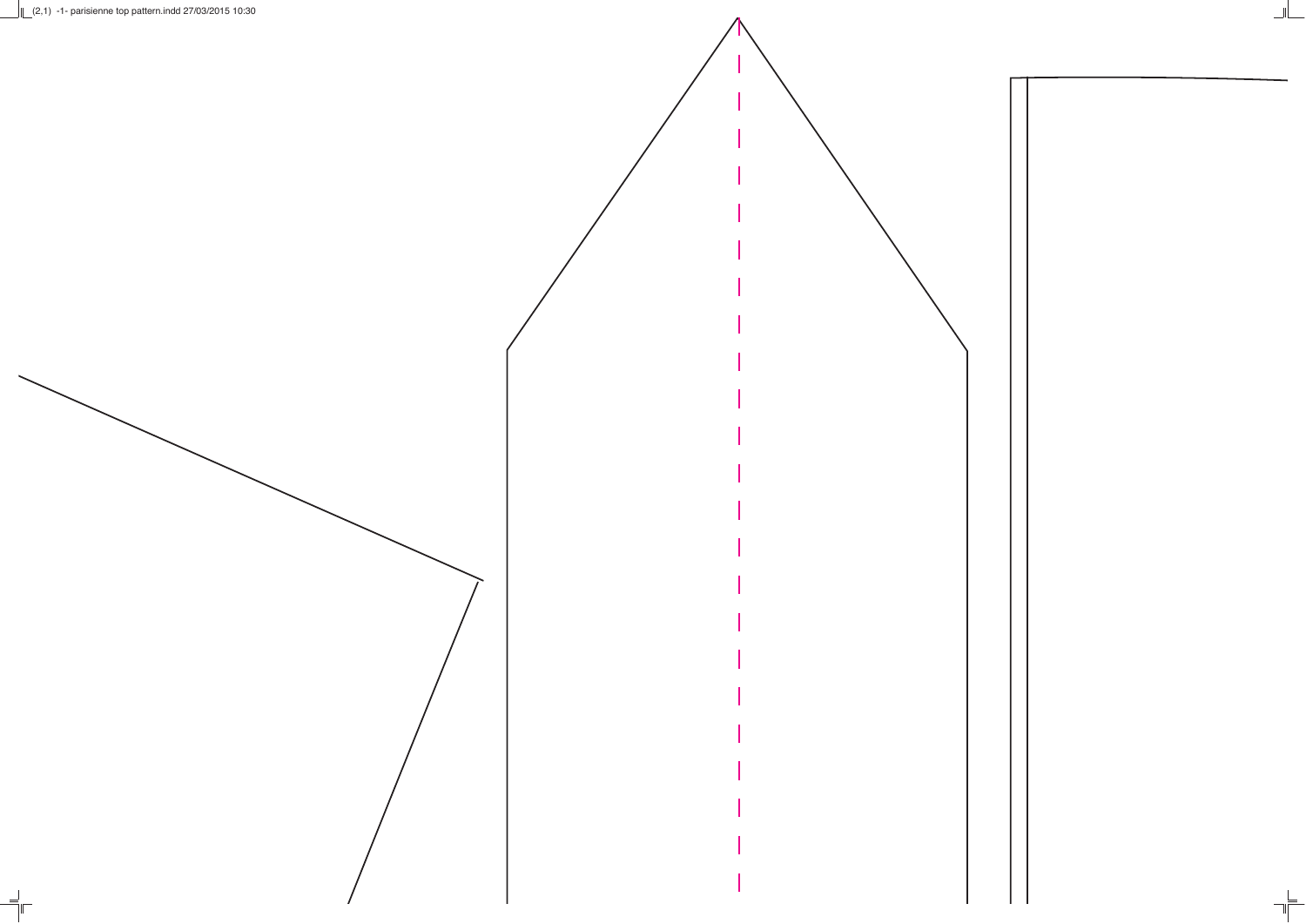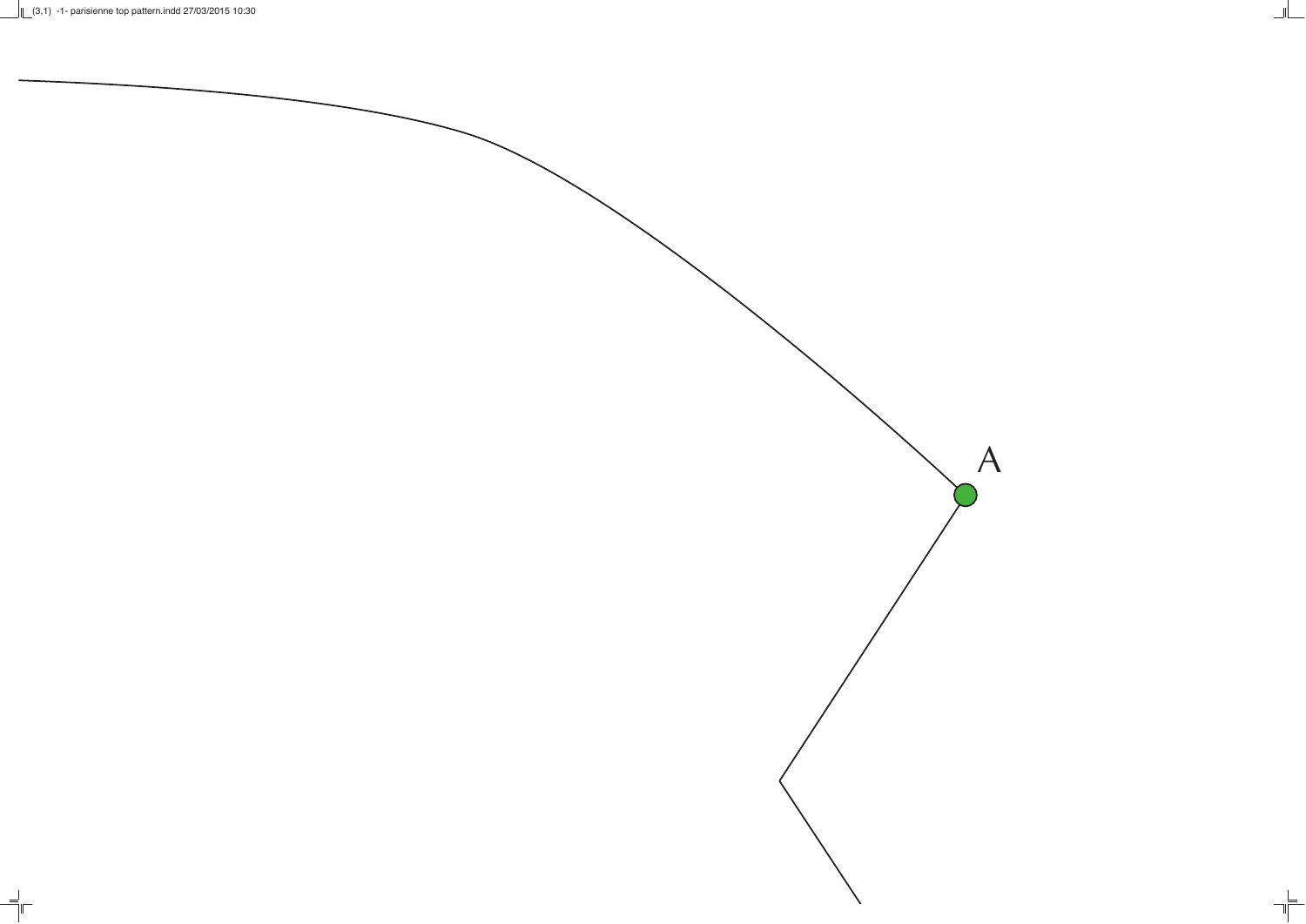$\|$  (3,1) -1- parisienne top pattern.indd 27/03/2015 10:30

A

 $\mathbb{R}$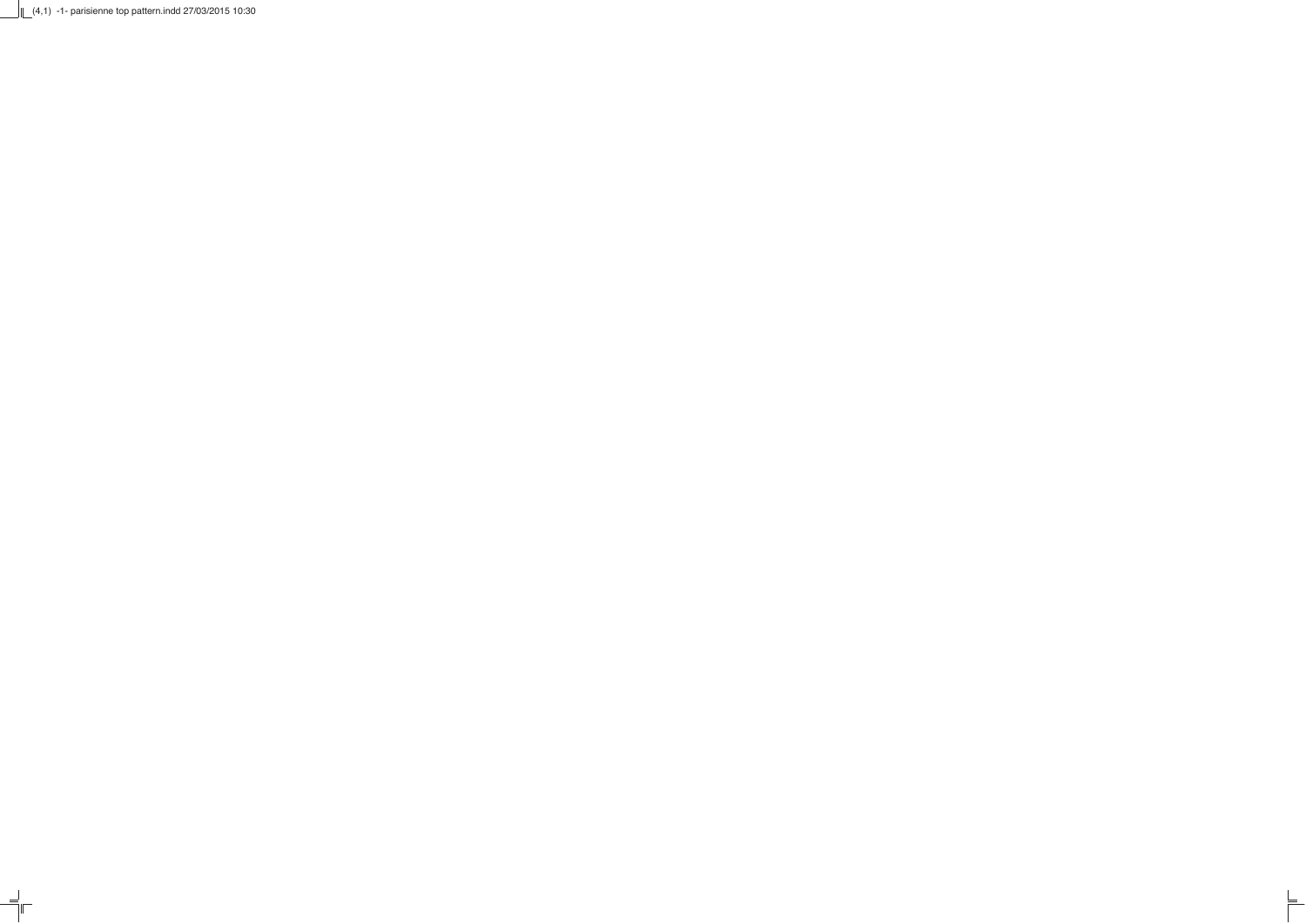$||(4,1)$  -1- parisienne top pattern.indd 27/03/2015 10:30

 $\frac{-1}{\sqrt{2}}$ 

 $\models$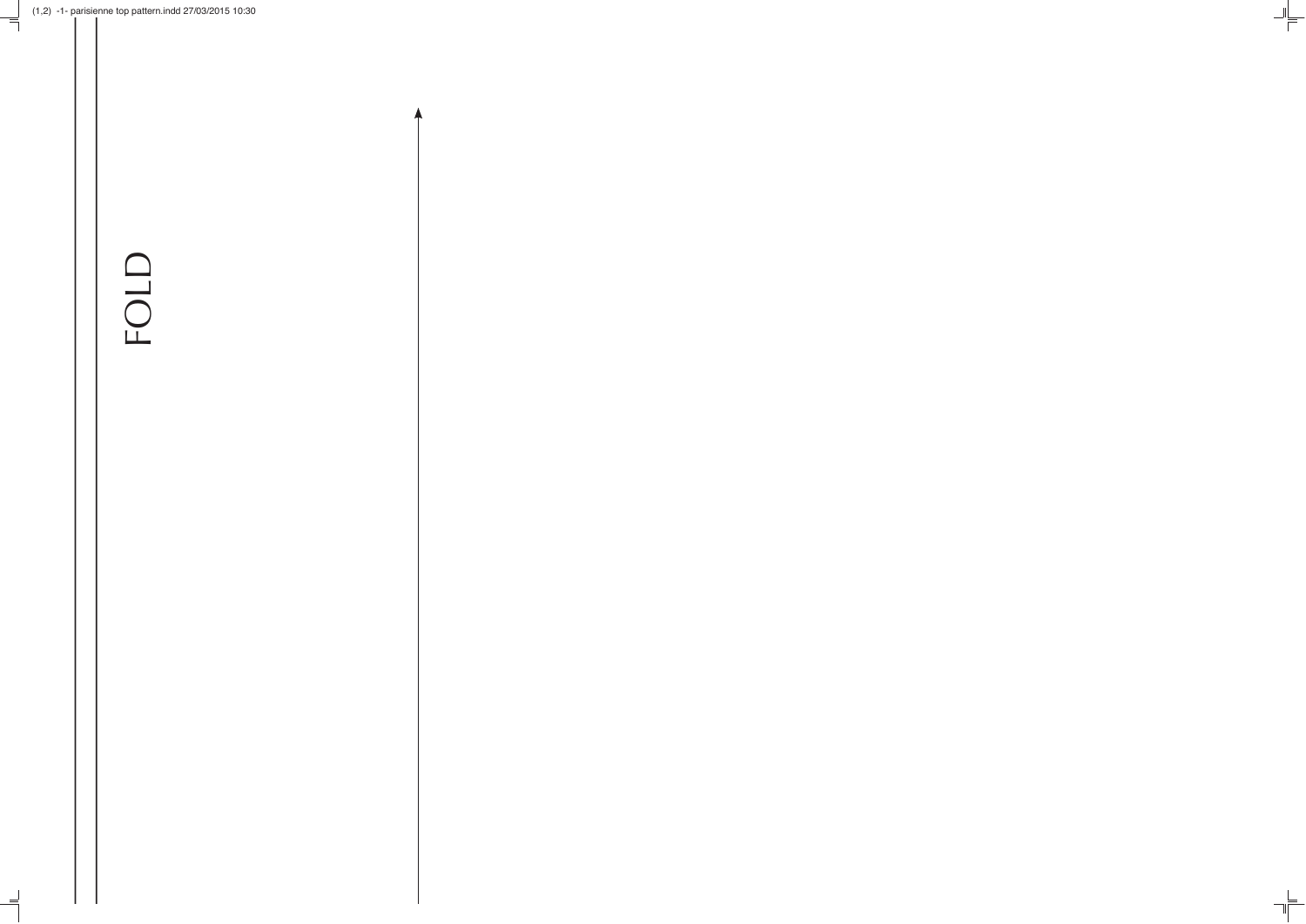$\frac{\Delta \mathbf{r}}{\Delta \mathbf{r}} = \frac{1}{\Delta \mathbf{r}} \frac{\Delta \mathbf{r}}{\Delta \mathbf{r}}$ 

 $\frac{1}{\sqrt{2}}$ 

 $\overline{\phantom{a}}$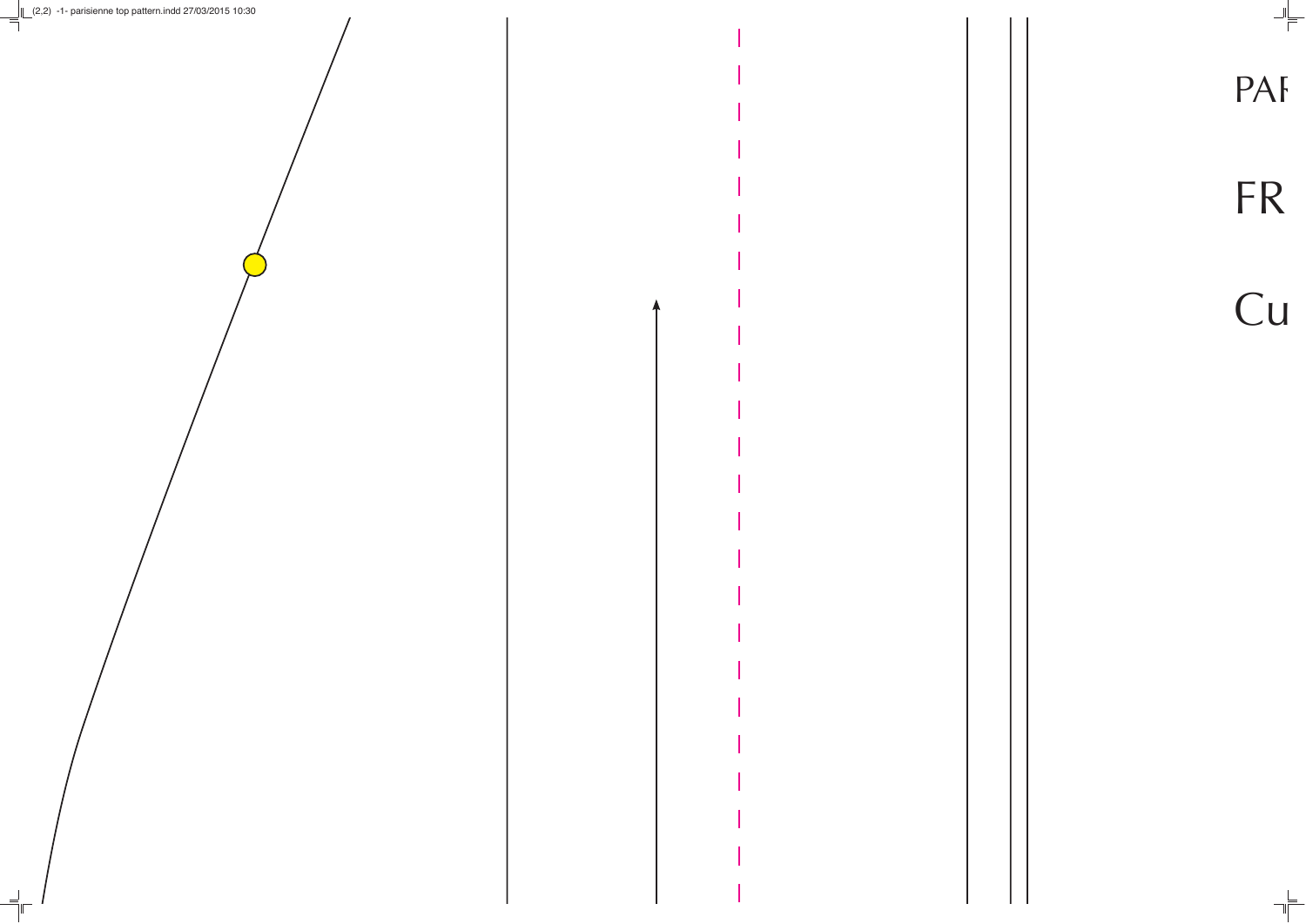

PA R FR Cu

—"⊨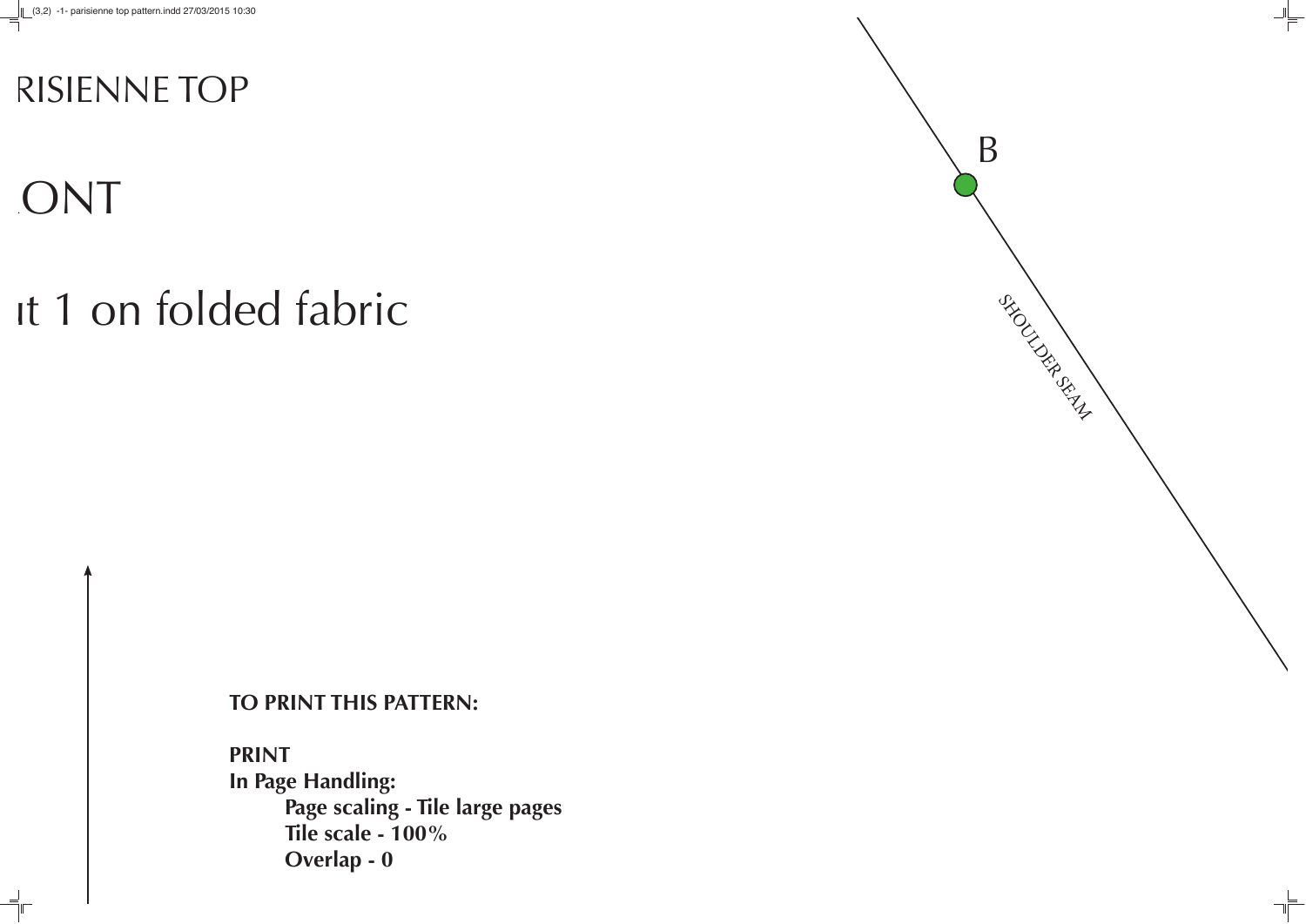### RISIENNE TOP

## ONT

ut 1 on folded fabric

#### **TO PRINT THIS PATTERN:**

**PRINT In Page Handling: Page scaling - Tile large pages Tile scale - 100% Overlap - 0**

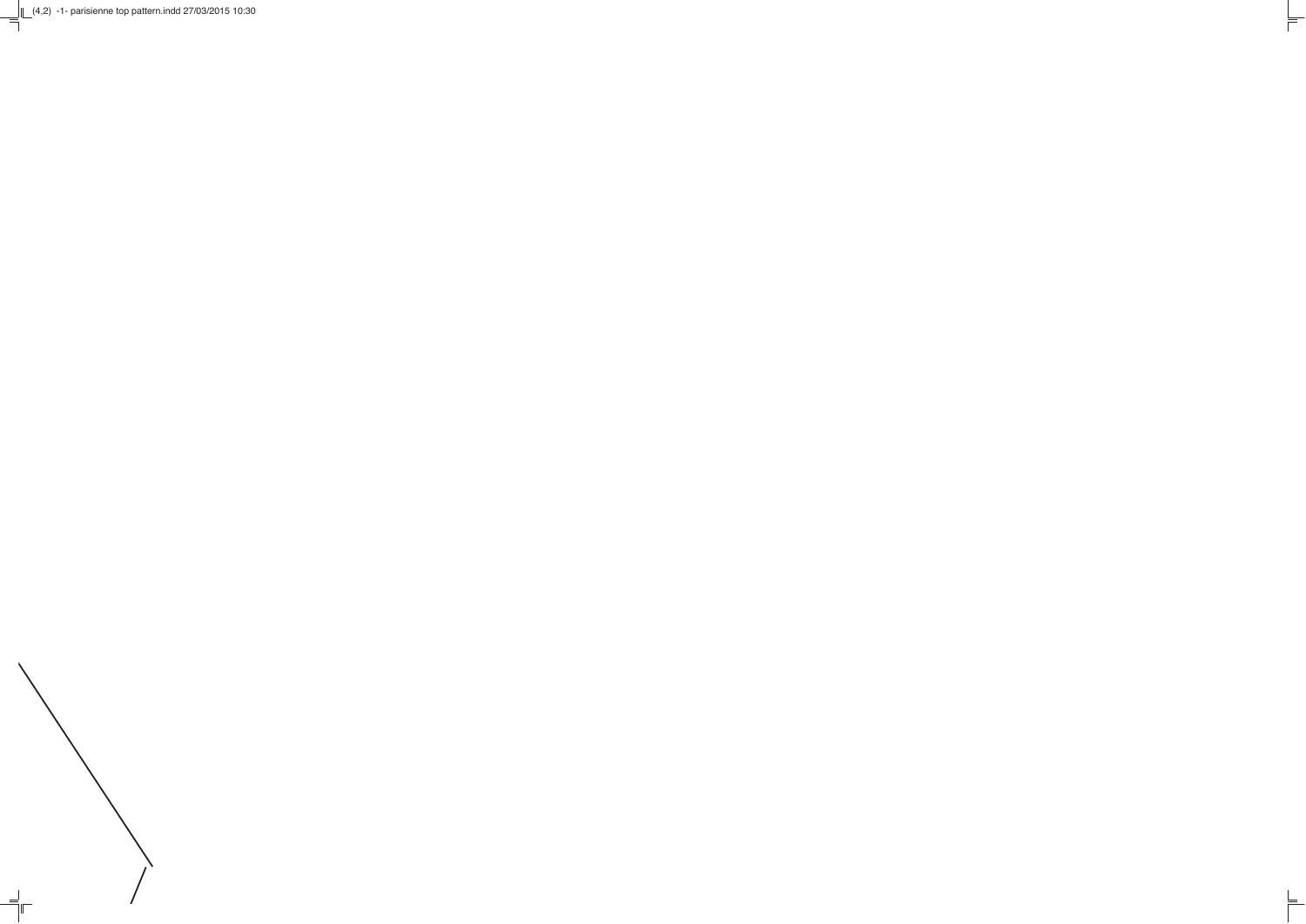

F

 $\models$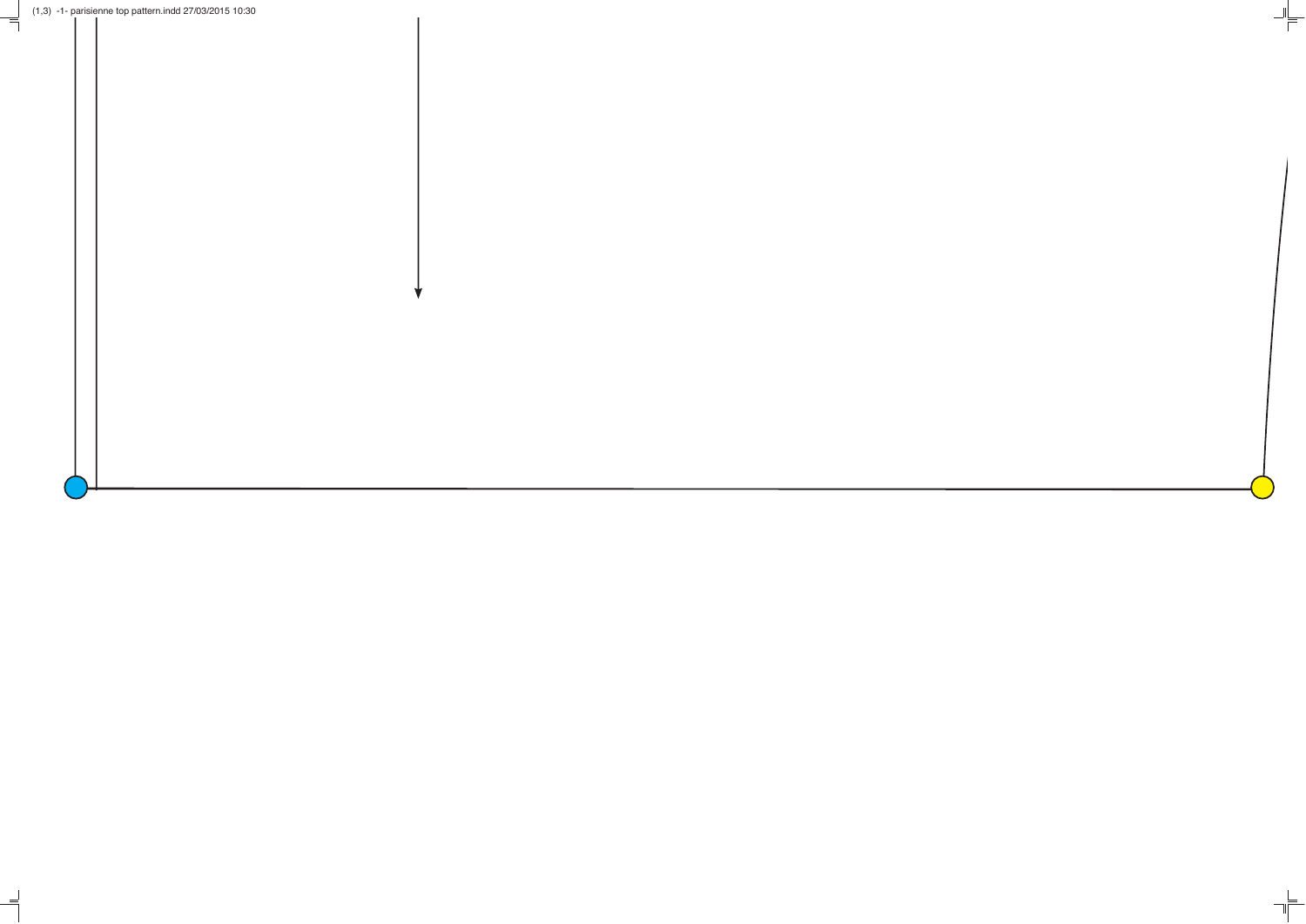す

 $\frac{1}{\sqrt{2}}$ 

ᅫ

ור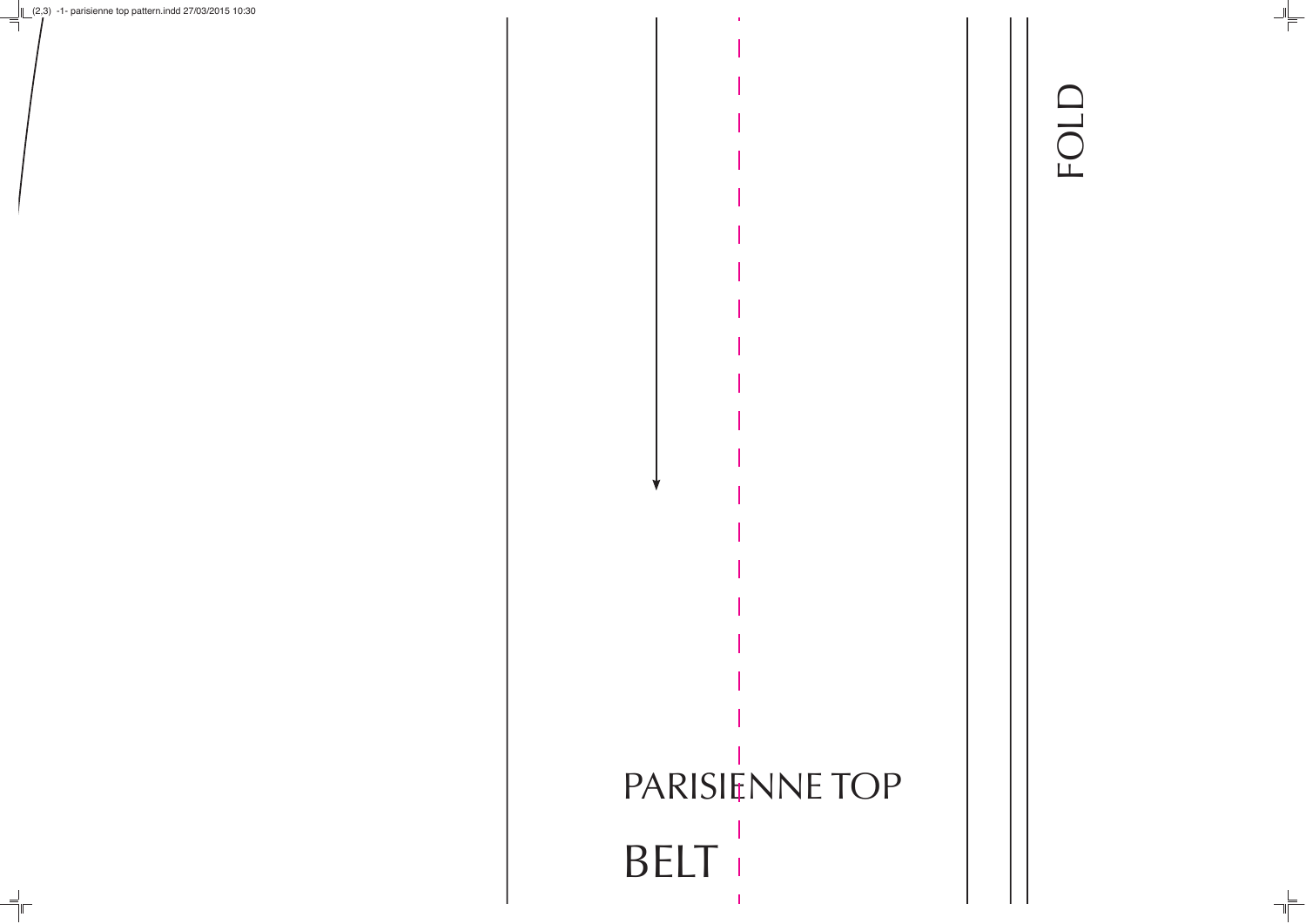# FOLD

# PARISIENNE TOP

## BELT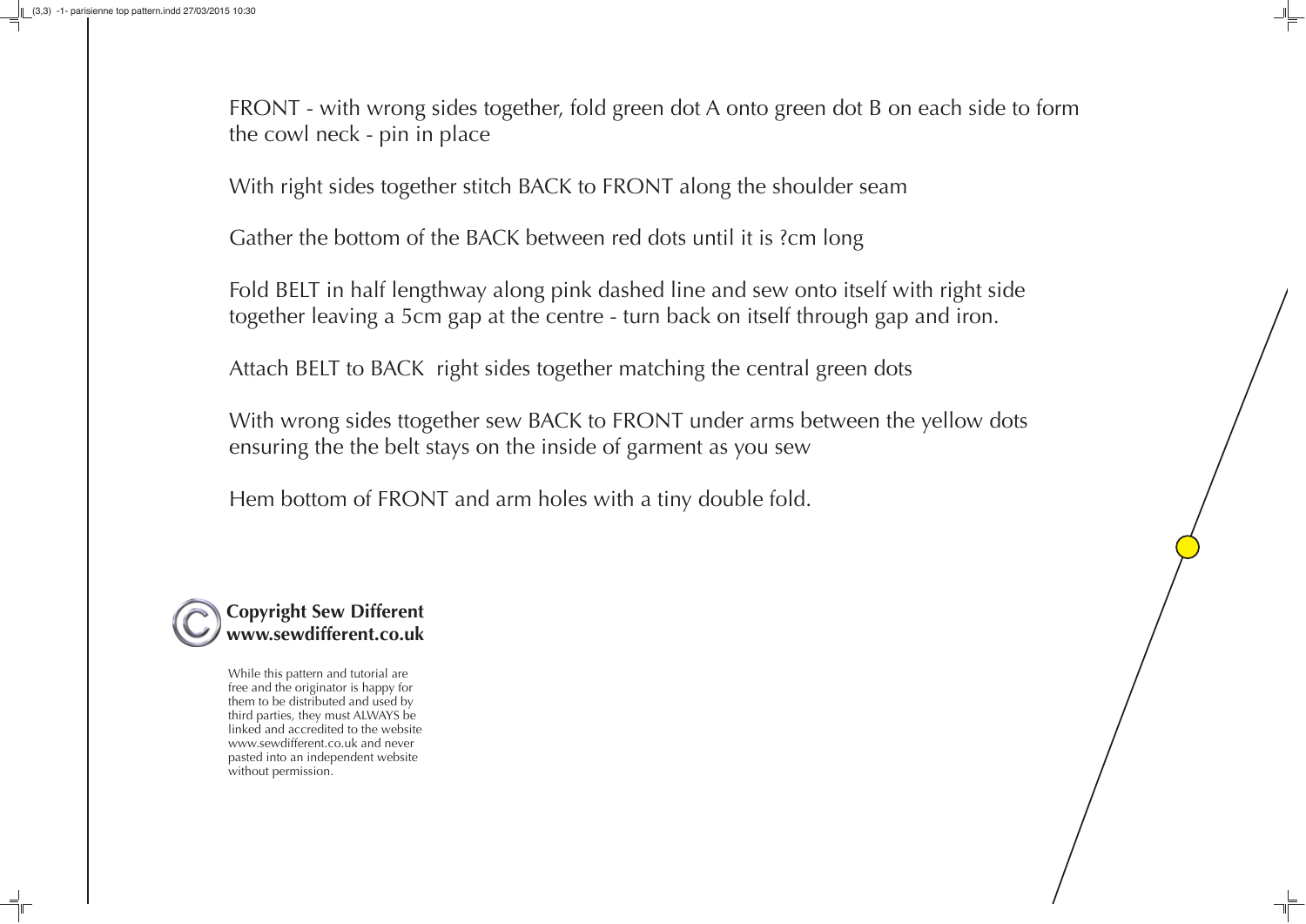FRONT - with wrong sides together, fold green dot A onto green dot B on each side to form the cowl neck - pin in place

With right sides together stitch BACK to FRONT along the shoulder seam

Gather the bottom of the BACK between red dots until it is ?cm long

Fold BELT in half lengthway along pink dashed line and sew onto itself with right side together leaving a 5cm gap at the centre - turn back on itself through gap and iron.

Attach BELT to BACK right sides together matching the central green dots

With wrong sides ttogether sew BACK to FRONT under arms between the yellow dots ensuring the the belt stays on the inside of garment as you sew

Hem bottom of FRONT and arm holes with a tiny double fold.

#### **Copyright Sew Different www.sewdifferent.co.uk**

While this pattern and tutorial are free and the originator is happy for them to be distributed and used by third parties, they must ALWAYS be linked and accredited to the website www.sewdifferent.co.uk and never pasted into an independent website without permission.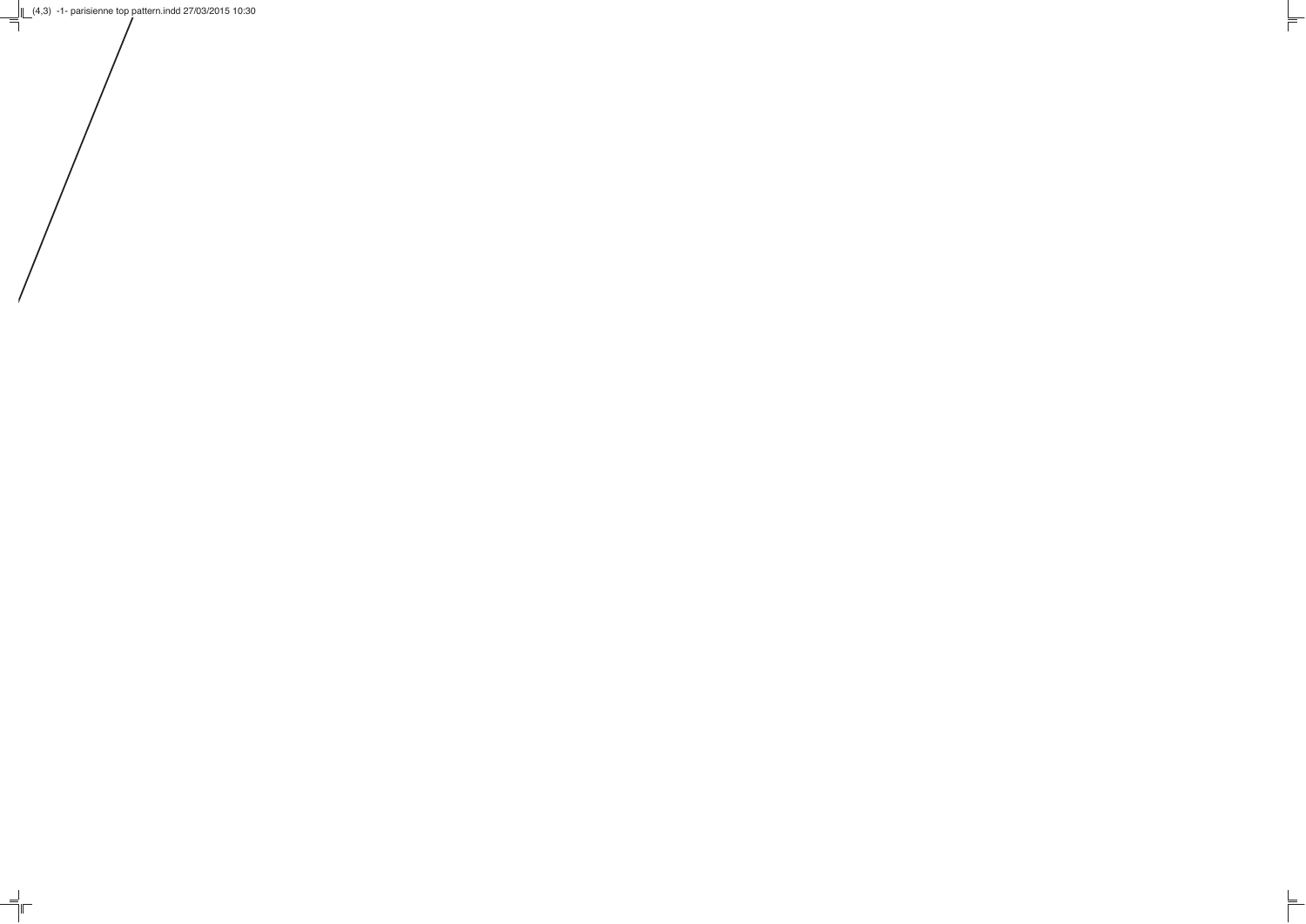$\int_{\lvert\lvert(4,3)\rvert}$  -1- parisienne top pattern.indd 27/03/2015 10:30

 $=$ 

 $\frac{1}{\sqrt{2}}$ 

 $\models$ 

 $\models$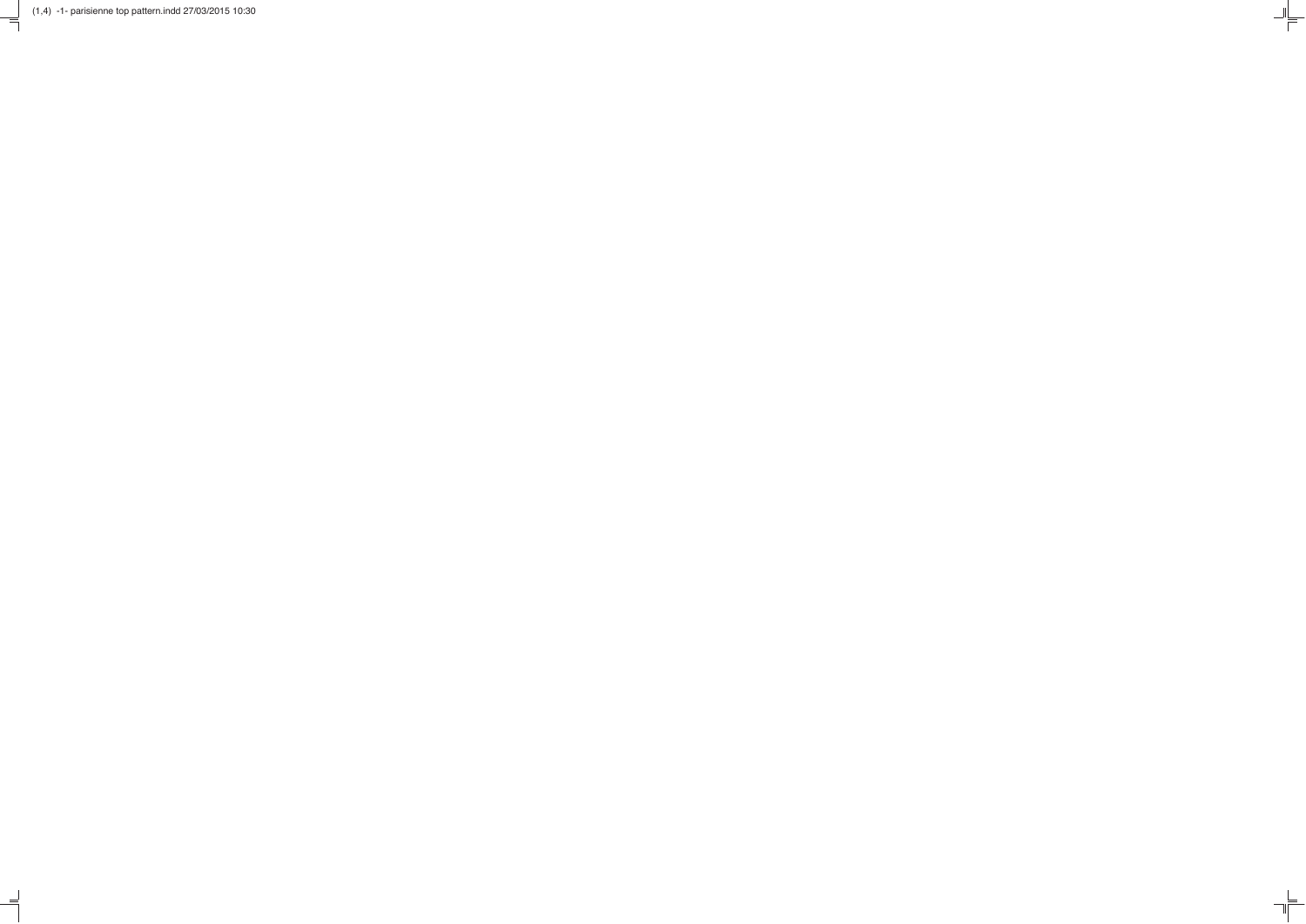$\overline{=}$  (1,4) -1- parisienne top pattern.indd 27/03/2015 10:30

 $\overline{\mathcal{L}}$ 

 $\frac{\Delta \mathbf{r}}{\Delta \mathbf{r}} = \frac{1}{\Delta \mathbf{r}} \frac{\Delta \mathbf{r}}{\Delta \mathbf{r}}$ 

 $\frac{\underline{\underline{L}}}{\underline{\underline{L}}}\underline{\underline{L}}$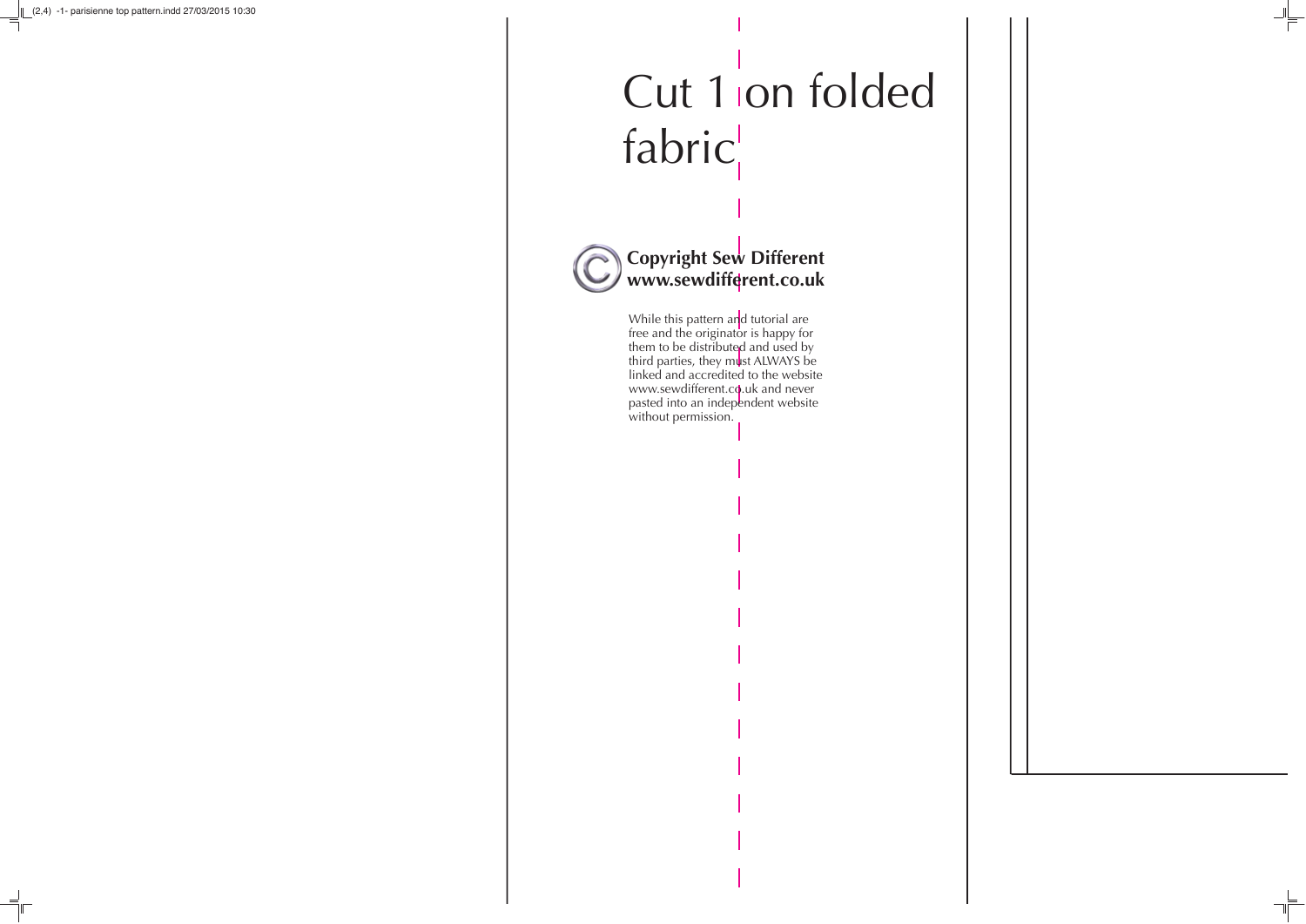## Cut 1 ion folded fabric

### **Copyright Sew Different www.sewdifferent.co.uk**

While this pattern an<mark>d tutorial are</mark> free and the originator is happy for them to be distributed and used by third parties, they must ALWAYS be linked and accredited to the website www.sewdifferent.co.uk and never pasted into an independent website without permission.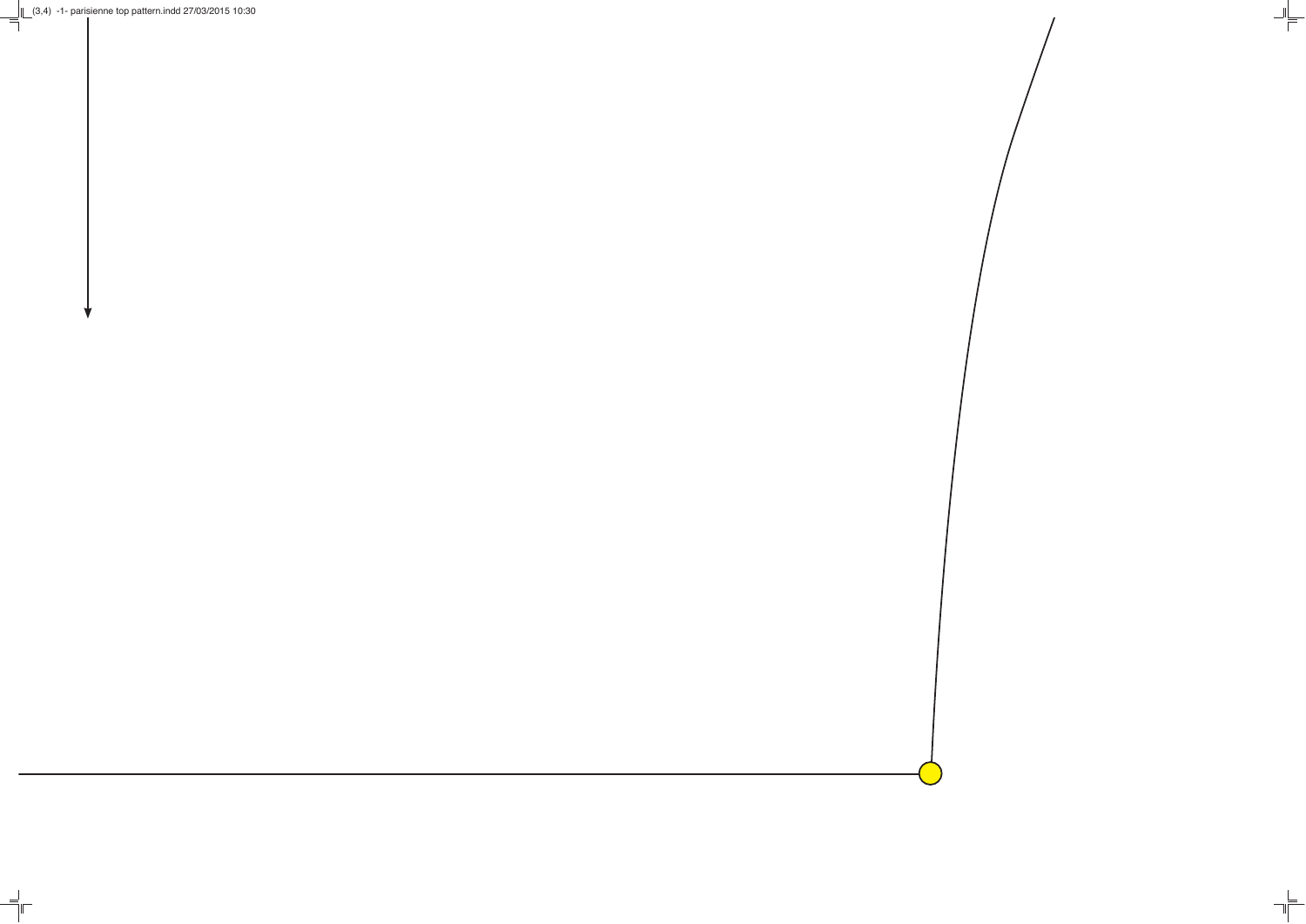$\frac{1}{\sqrt{3}}$  (3,4) -1- parisienne top pattern.indd 27/03/2015 10:30

ᅫ

٦ı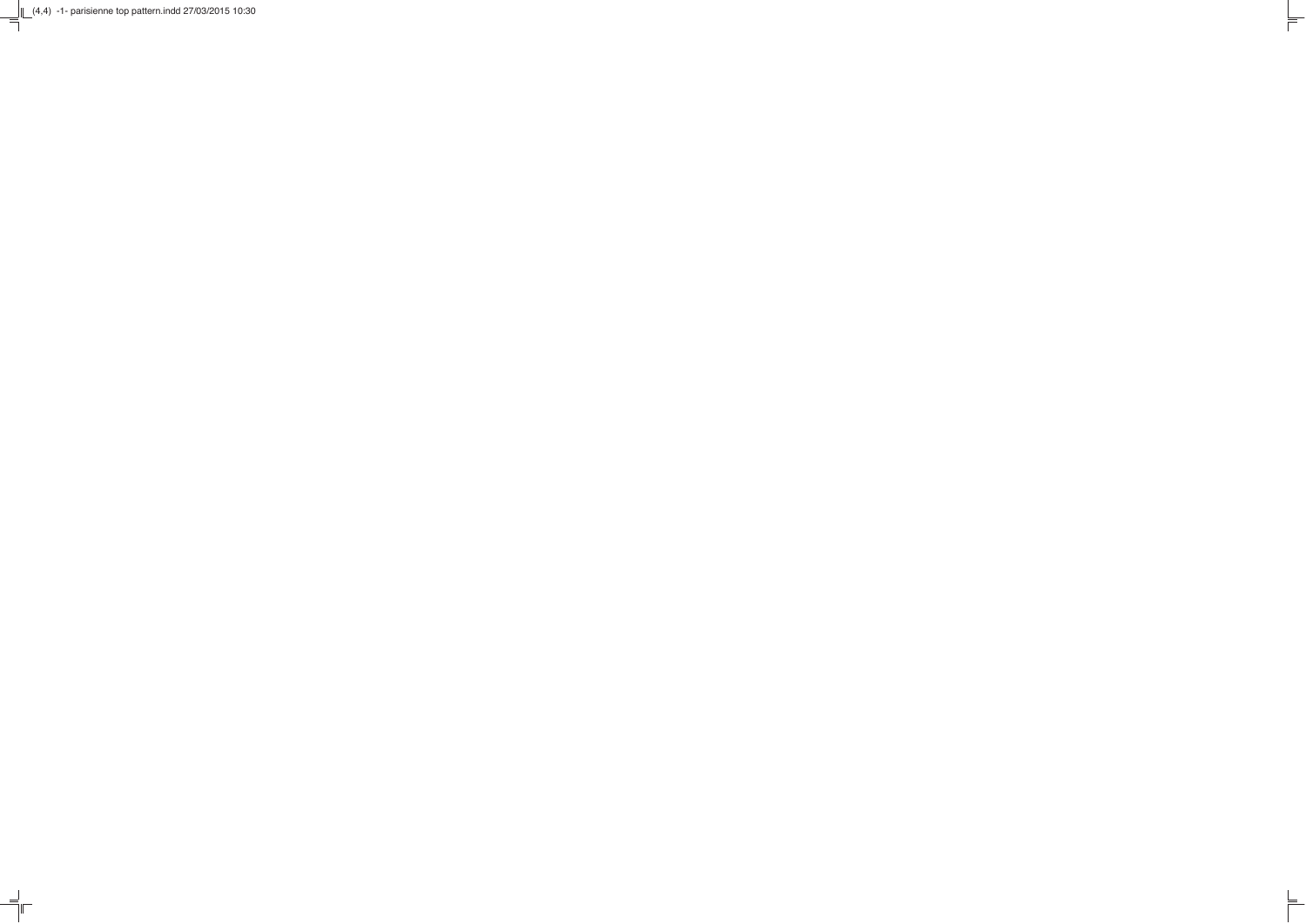$\frac{1}{\sqrt{1-\frac{1}{\sqrt{1-\frac{1}{\sqrt{1-\frac{1}{\sqrt{1-\frac{1}{\sqrt{1-\frac{1}{\sqrt{1-\frac{1}{\sqrt{1-\frac{1}{\sqrt{1-\frac{1}{\sqrt{1-\frac{1}{\sqrt{1-\frac{1}{\sqrt{1-\frac{1}{\sqrt{1-\frac{1}{\sqrt{1-\frac{1}{\sqrt{1-\frac{1}{\sqrt{1-\frac{1}{\sqrt{1-\frac{1}{\sqrt{1-\frac{1}{\sqrt{1-\frac{1}{\sqrt{1-\frac{1}{\sqrt{1-\frac{1}{\sqrt{1-\frac{1}{\sqrt{1-\frac{1}{\sqrt{1-\frac{1}{\sqrt{1-\frac{1$ 

 $\frac{-1}{\sqrt{2}}$ 

 $\frac{1}{\Gamma}$ 

 $\frac{L}{\sqrt{2}}$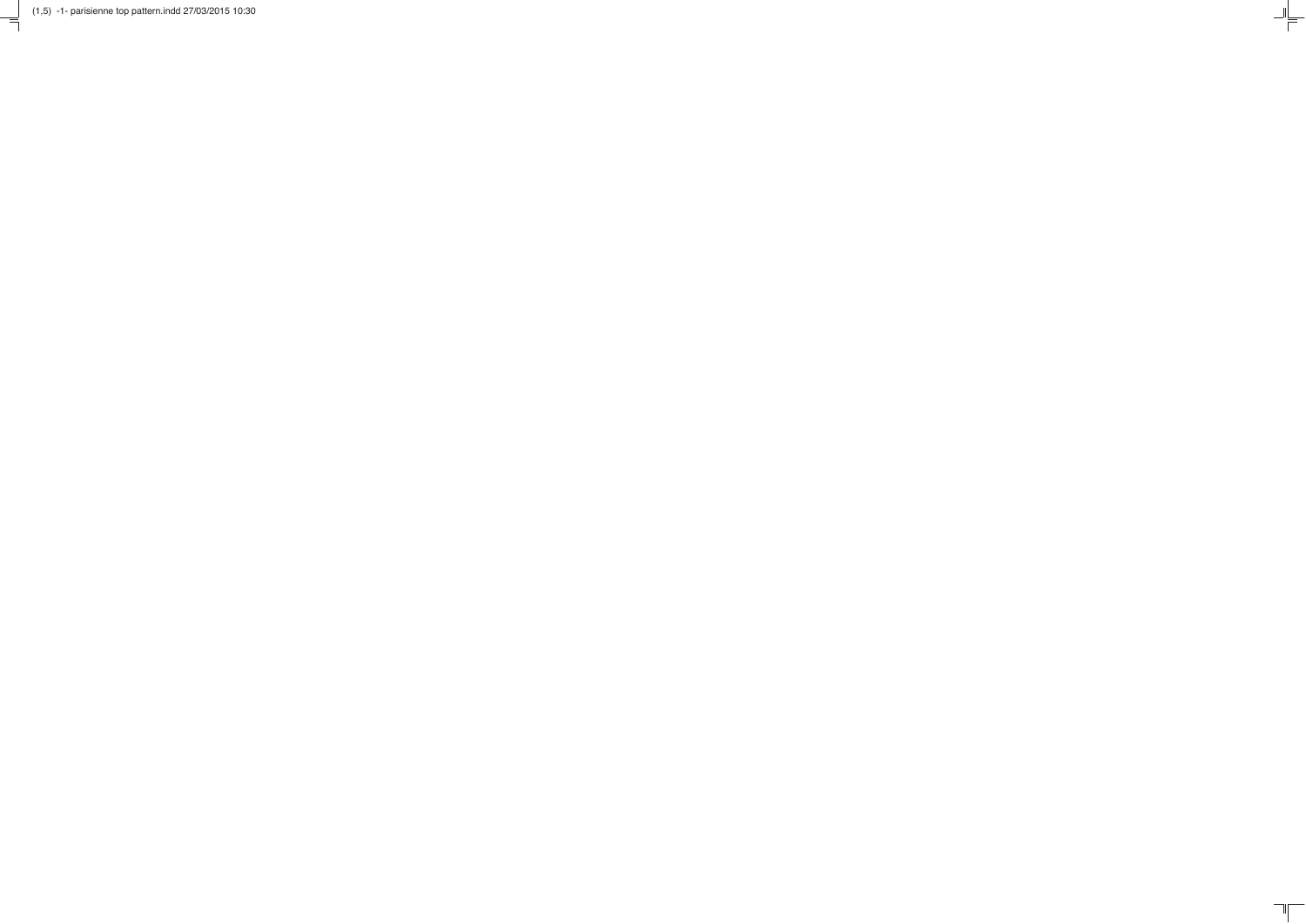$\frac{\Delta \mathbf{r}}{\Delta \mathbf{r}} = \frac{1}{\Delta \mathbf{r}} \frac{\Delta \mathbf{r}}{\Delta \mathbf{r}}$ 

 $\exists \mathbb{F}$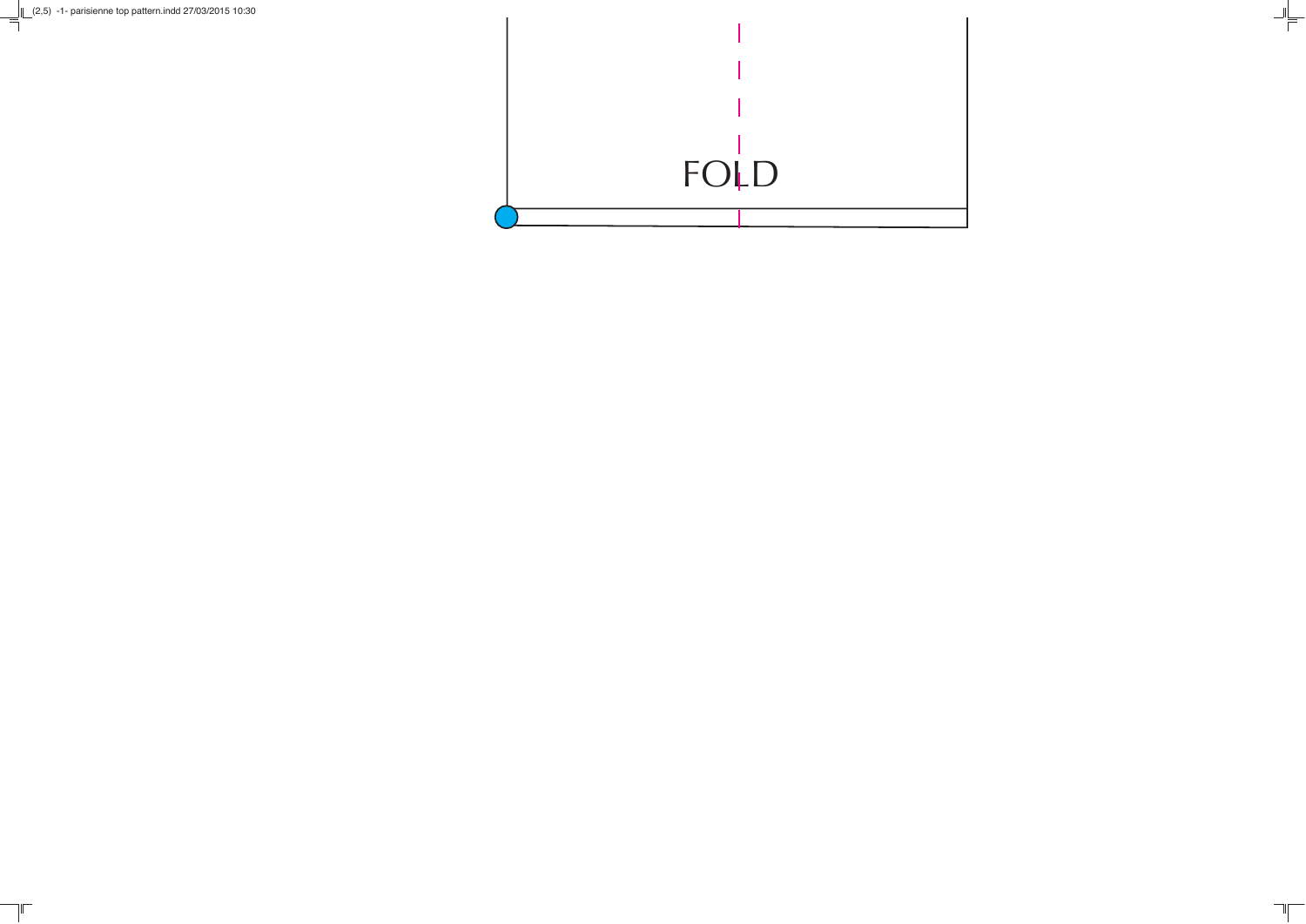

ᆙ

٦I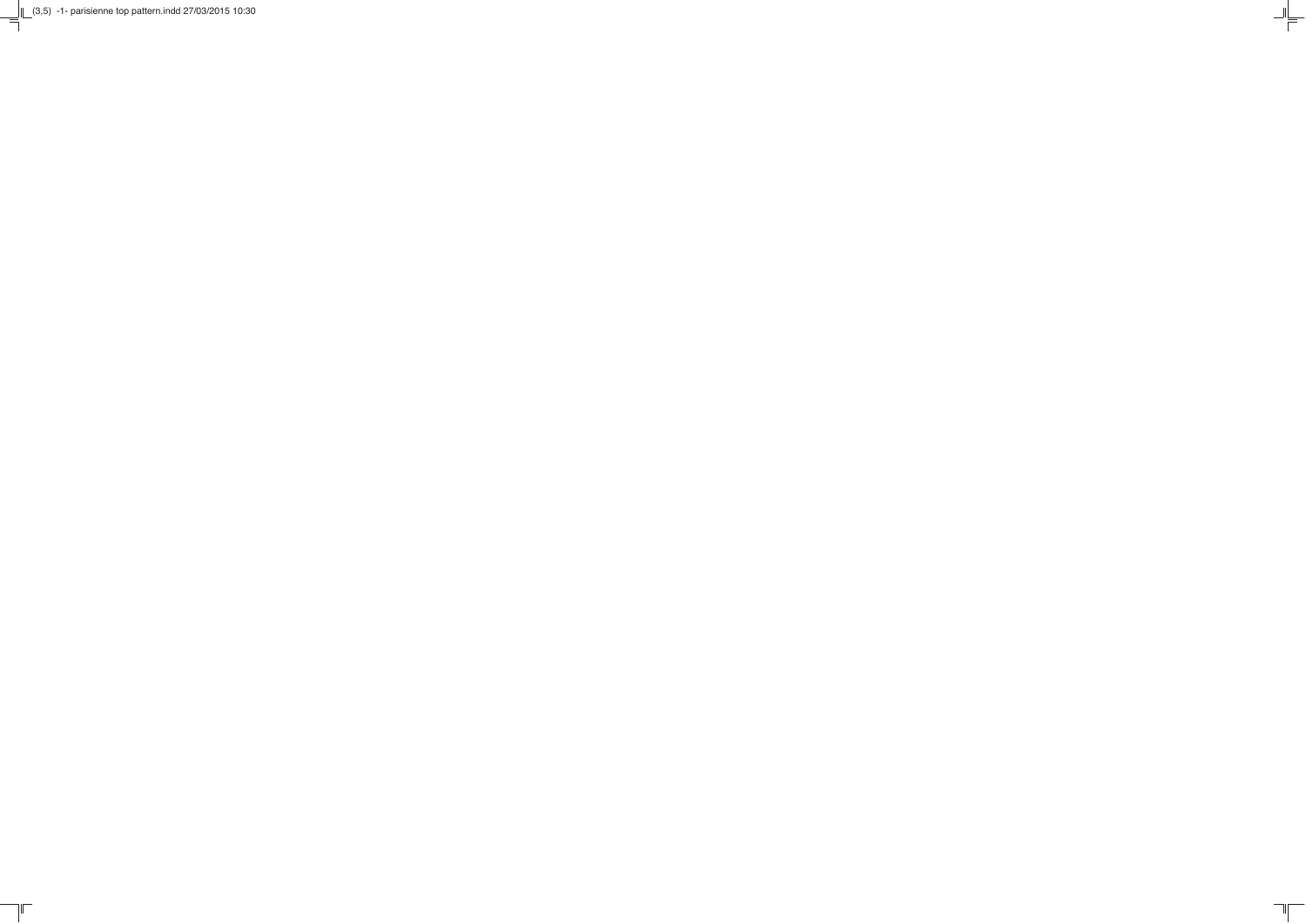$\frac{1}{\sqrt{1-\frac{1}{\sqrt{1-\frac{1}{\sqrt{1-\frac{1}{\sqrt{1-\frac{1}{\sqrt{1-\frac{1}{\sqrt{1-\frac{1}{\sqrt{1-\frac{1}{\sqrt{1-\frac{1}{\sqrt{1-\frac{1}{\sqrt{1-\frac{1}{\sqrt{1-\frac{1}{\sqrt{1-\frac{1}{\sqrt{1-\frac{1}{\sqrt{1-\frac{1}{\sqrt{1-\frac{1}{\sqrt{1-\frac{1}{\sqrt{1-\frac{1}{\sqrt{1-\frac{1}{\sqrt{1-\frac{1}{\sqrt{1-\frac{1}{\sqrt{1-\frac{1}{\sqrt{1-\frac{1}{\sqrt{1-\frac{1}{\sqrt{1-\frac{1$ 

 $\overline{\phantom{a}}$ 

 $\frac{\Delta \mathbf{r}}{\mathbf{r}^2}$ 

 $\neg$